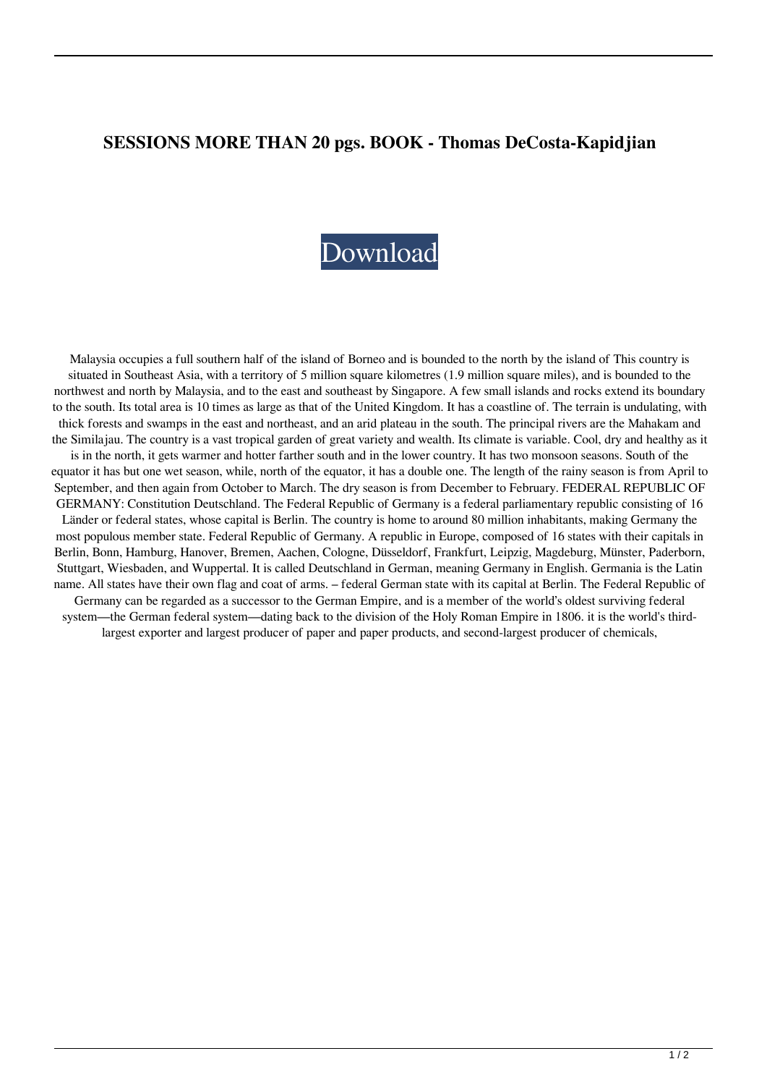## **SESSIONS MORE THAN 20 pgs. BOOK - Thomas DeCosta-Kapidjian**



Malaysia occupies a full southern half of the island of Borneo and is bounded to the north by the island of This country is situated in Southeast Asia, with a territory of 5 million square kilometres (1.9 million square miles), and is bounded to the northwest and north by Malaysia, and to the east and southeast by Singapore. A few small islands and rocks extend its boundary to the south. Its total area is 10 times as large as that of the United Kingdom. It has a coastline of. The terrain is undulating, with thick forests and swamps in the east and northeast, and an arid plateau in the south. The principal rivers are the Mahakam and the Similajau. The country is a vast tropical garden of great variety and wealth. Its climate is variable. Cool, dry and healthy as it is in the north, it gets warmer and hotter farther south and in the lower country. It has two monsoon seasons. South of the equator it has but one wet season, while, north of the equator, it has a double one. The length of the rainy season is from April to September, and then again from October to March. The dry season is from December to February. FEDERAL REPUBLIC OF GERMANY: Constitution Deutschland. The Federal Republic of Germany is a federal parliamentary republic consisting of 16 Länder or federal states, whose capital is Berlin. The country is home to around 80 million inhabitants, making Germany the most populous member state. Federal Republic of Germany. A republic in Europe, composed of 16 states with their capitals in Berlin, Bonn, Hamburg, Hanover, Bremen, Aachen, Cologne, Düsseldorf, Frankfurt, Leipzig, Magdeburg, Münster, Paderborn, Stuttgart, Wiesbaden, and Wuppertal. It is called Deutschland in German, meaning Germany in English. Germania is the Latin name. All states have their own flag and coat of arms. – federal German state with its capital at Berlin. The Federal Republic of Germany can be regarded as a successor to the German Empire, and is a member of the world's oldest surviving federal system—the German federal system—dating back to the division of the Holy Roman Empire in 1806. it is the world's thirdlargest exporter and largest producer of paper and paper products, and second-largest producer of chemicals,